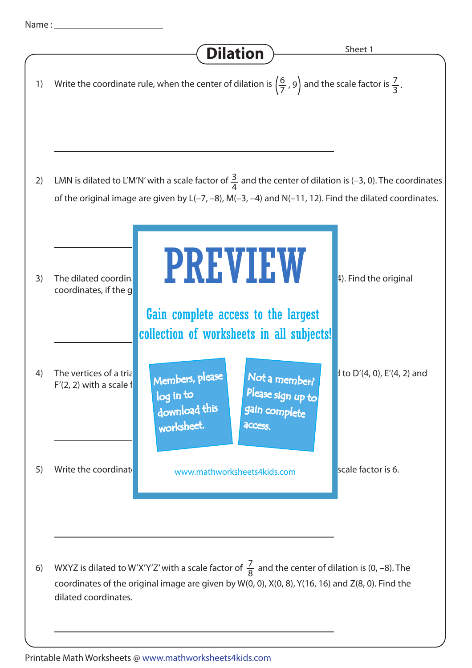## Dilation > Sheet 1 4) The vertices of a triangle are D(4, 2), and F(4, 2), and F(4, 2), and F(4, 2), and  $F'(2, 2)$  with a scale f 5) Write the coordinate www.mathworksheets4kids.com **in scale factor is 6.** 1) Write the coordinate rule, when the center of dilation is  $\left(\frac{6}{7}, 9\right)$  and the scale factor is 7  $rac{7}{3}$ . 2) LMN is dilated to L'M'N' with a scale factor of  $\frac{3}{4}$ 4 LMN is dilated to L'M'N' with a scale factor of  $\frac{3}{4}$  and the center of dilation is (-3, 0). The coordinates of the original image are given by L(–7, –8), M(–3, –4) and N(–11, 12). Find the dilated coordinates. 6) WXYZ is dilated to W'X'Y'Z' with a scale factor of  $\frac{7}{8}$  and the center of dilation is (0, –8). The coordinates of the original image are given by W(0, 0), X(0, 8), Y(16, 16) and Z(8, 0). Find the dilated coordinates. 3) The dilated coordinates are S<sup>T</sup>( $\blacksquare$ ,  $\blacksquare$ ,  $\blacksquare$ ,  $\blacksquare$ ,  $\blacksquare$ ,  $\blacksquare$ , and the original coordinates, if the g PREVIEW Members, please download this worksheet. log in to Not a member? gain complete Please sign up to **access** Gain complete access to the largest collection of worksheets in all subjects!